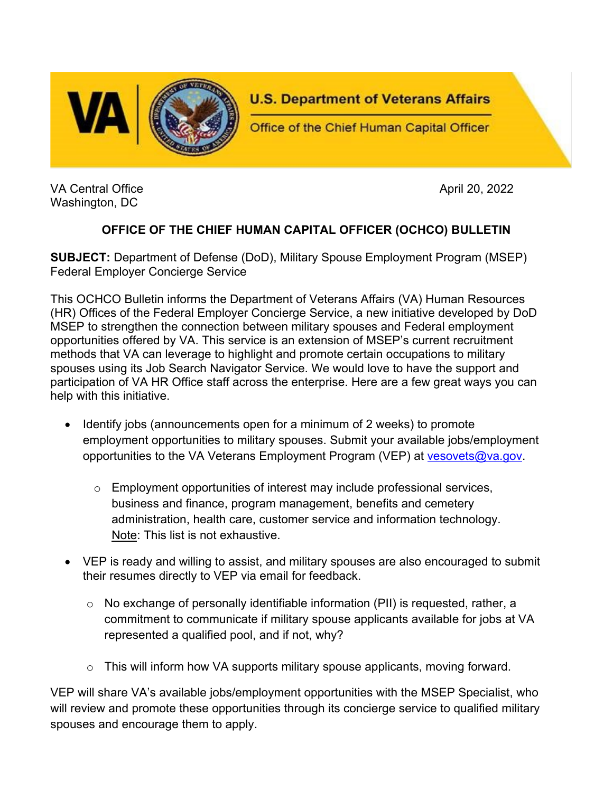

VA Central Office April 20, 2022 Washington, DC

## **OFFICE OF THE CHIEF HUMAN CAPITAL OFFICER (OCHCO) BULLETIN**

**SUBJECT:** Department of Defense (DoD), Military Spouse Employment Program (MSEP) Federal Employer Concierge Service

This OCHCO Bulletin informs the Department of Veterans Affairs (VA) Human Resources (HR) Offices of the Federal Employer Concierge Service, a new initiative developed by DoD MSEP to strengthen the connection between military spouses and Federal employment opportunities offered by VA. This service is an extension of MSEP's current recruitment methods that VA can leverage to highlight and promote certain occupations to military spouses using its Job Search Navigator Service. We would love to have the support and participation of VA HR Office staff across the enterprise. Here are a few great ways you can help with this initiative.

- Identify jobs (announcements open for a minimum of 2 weeks) to promote employment opportunities to military spouses. Submit your available jobs/employment opportunities to the VA Veterans Employment Program (VEP) at [vesovets@va.gov.](mailto:vesovets@va.gov)
	- $\circ$  Employment opportunities of interest may include professional services, business and finance, program management, benefits and cemetery administration, health care, customer service and information technology. Note: This list is not exhaustive.
- VEP is ready and willing to assist, and military spouses are also encouraged to submit their resumes directly to VEP via email for feedback.
	- o No exchange of personally identifiable information (PII) is requested, rather, a commitment to communicate if military spouse applicants available for jobs at VA represented a qualified pool, and if not, why?
	- o This will inform how VA supports military spouse applicants, moving forward.

VEP will share VA's available jobs/employment opportunities with the MSEP Specialist, who will review and promote these opportunities through its concierge service to qualified military spouses and encourage them to apply.